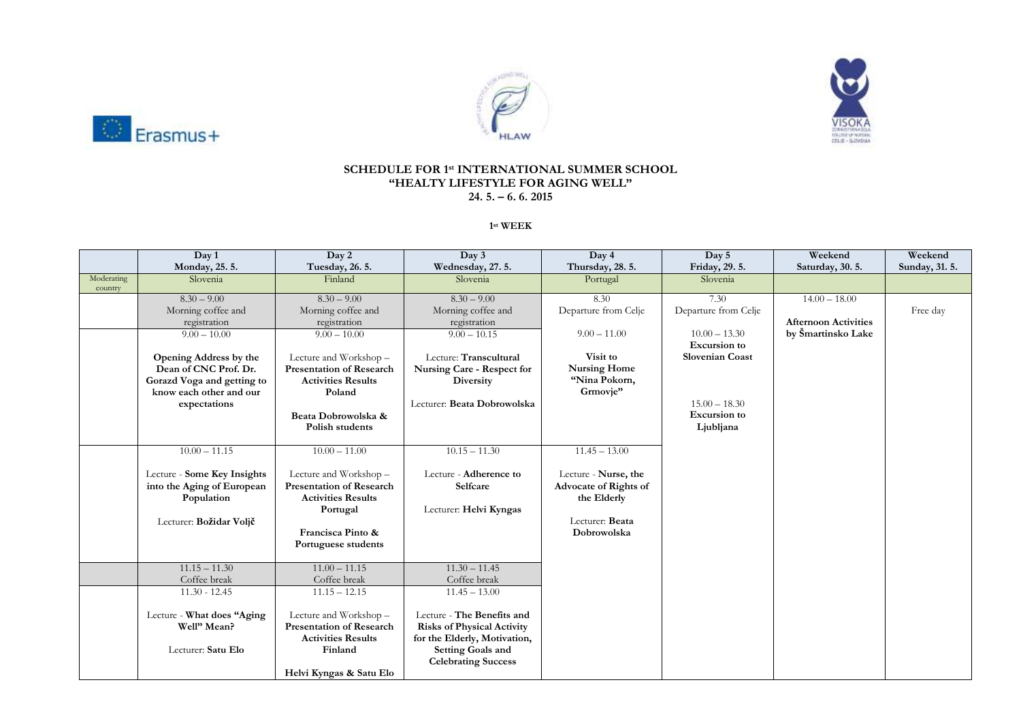





## **SCHEDULE FOR 1 st INTERNATIONAL SUMMER SCHOOL "HEALTY LIFESTYLE FOR AGING WELL" 24. 5. – 6. 6. 2015**

**1 st WEEK**

|            | Day 1<br>Monday, 25.5.                                    | Day 2<br>Tuesday, 26.5.                                   | Day 3<br>Wednesday, 27.5.         | Day 4<br>Thursday, 28.5.                      | Day 5<br>Friday, 29. 5. | Weekend<br>Saturday, 30.5.  | Weekend<br>Sunday, 31. 5. |
|------------|-----------------------------------------------------------|-----------------------------------------------------------|-----------------------------------|-----------------------------------------------|-------------------------|-----------------------------|---------------------------|
| Moderating | Slovenia                                                  | Finland                                                   | Slovenia                          | Portugal                                      | Slovenia                |                             |                           |
| country    |                                                           |                                                           |                                   |                                               |                         |                             |                           |
|            | $8.30 - 9.00$                                             | $8.30 - 9.00$                                             | $8.30 - 9.00$                     | 8.30                                          | 7.30                    | $14.00 - 18.00$             |                           |
|            | Morning coffee and                                        | Morning coffee and                                        | Morning coffee and                | Departure from Celje                          | Departure from Celje    |                             | Free day                  |
|            | registration                                              | registration                                              | registration                      |                                               |                         | <b>Afternoon Activities</b> |                           |
|            | $9.00 - 10.00$                                            | $9.00 - 10.00$                                            | $9.00 - 10.15$                    | $9.00 - 11.00$                                | $10.00 - 13.30$         | by Šmartinsko Lake          |                           |
|            |                                                           |                                                           |                                   |                                               | <b>Excursion</b> to     |                             |                           |
|            | Opening Address by the                                    | Lecture and Workshop -                                    | Lecture: Transcultural            | Visit to                                      | <b>Slovenian Coast</b>  |                             |                           |
|            | Dean of CNC Prof. Dr.                                     | <b>Presentation of Research</b>                           | Nursing Care - Respect for        | <b>Nursing Home</b>                           |                         |                             |                           |
|            | Gorazd Voga and getting to<br>know each other and our     | <b>Activities Results</b><br>Poland                       | Diversity                         | "Nina Pokorn,<br>Grmovje"                     |                         |                             |                           |
|            | expectations                                              |                                                           | Lecturer: Beata Dobrowolska       |                                               | $15.00 - 18.30$         |                             |                           |
|            |                                                           | Beata Dobrowolska &                                       |                                   |                                               | <b>Excursion</b> to     |                             |                           |
|            |                                                           | Polish students                                           |                                   |                                               | Ljubljana               |                             |                           |
|            |                                                           |                                                           |                                   |                                               |                         |                             |                           |
|            | $10.00 - 11.15$                                           | $10.00 - 11.00$                                           | $10.15 - 11.30$                   | $11.45 - 13.00$                               |                         |                             |                           |
|            |                                                           |                                                           | Lecture - Adherence to            |                                               |                         |                             |                           |
|            | Lecture - Some Key Insights<br>into the Aging of European | Lecture and Workshop -<br><b>Presentation of Research</b> | Selfcare                          | Lecture - Nurse, the<br>Advocate of Rights of |                         |                             |                           |
|            | Population                                                | <b>Activities Results</b>                                 |                                   | the Elderly                                   |                         |                             |                           |
|            |                                                           | Portugal                                                  | Lecturer: Helvi Kyngas            |                                               |                         |                             |                           |
|            | Lecturer: Božidar Voljč                                   |                                                           |                                   | Lecturer: Beata                               |                         |                             |                           |
|            |                                                           | Francisca Pinto &                                         |                                   | Dobrowolska                                   |                         |                             |                           |
|            |                                                           | Portuguese students                                       |                                   |                                               |                         |                             |                           |
|            |                                                           |                                                           |                                   |                                               |                         |                             |                           |
|            | $11.15 - 11.30$                                           | $11.00 - 11.15$                                           | $11.30 - 11.45$                   |                                               |                         |                             |                           |
|            | Coffee break                                              | Coffee break                                              | Coffee break                      |                                               |                         |                             |                           |
|            | $11.30 - 12.45$                                           | $11.15 - 12.15$                                           | $11.45 - 13.00$                   |                                               |                         |                             |                           |
|            |                                                           |                                                           | Lecture - The Benefits and        |                                               |                         |                             |                           |
|            | Lecture - What does "Aging<br>Well" Mean?                 | Lecture and Workshop -<br><b>Presentation of Research</b> | <b>Risks of Physical Activity</b> |                                               |                         |                             |                           |
|            |                                                           | <b>Activities Results</b>                                 | for the Elderly, Motivation,      |                                               |                         |                             |                           |
|            | Lecturer: Satu Elo                                        | Finland                                                   | Setting Goals and                 |                                               |                         |                             |                           |
|            |                                                           |                                                           | <b>Celebrating Success</b>        |                                               |                         |                             |                           |
|            |                                                           | Helvi Kyngas & Satu Elo                                   |                                   |                                               |                         |                             |                           |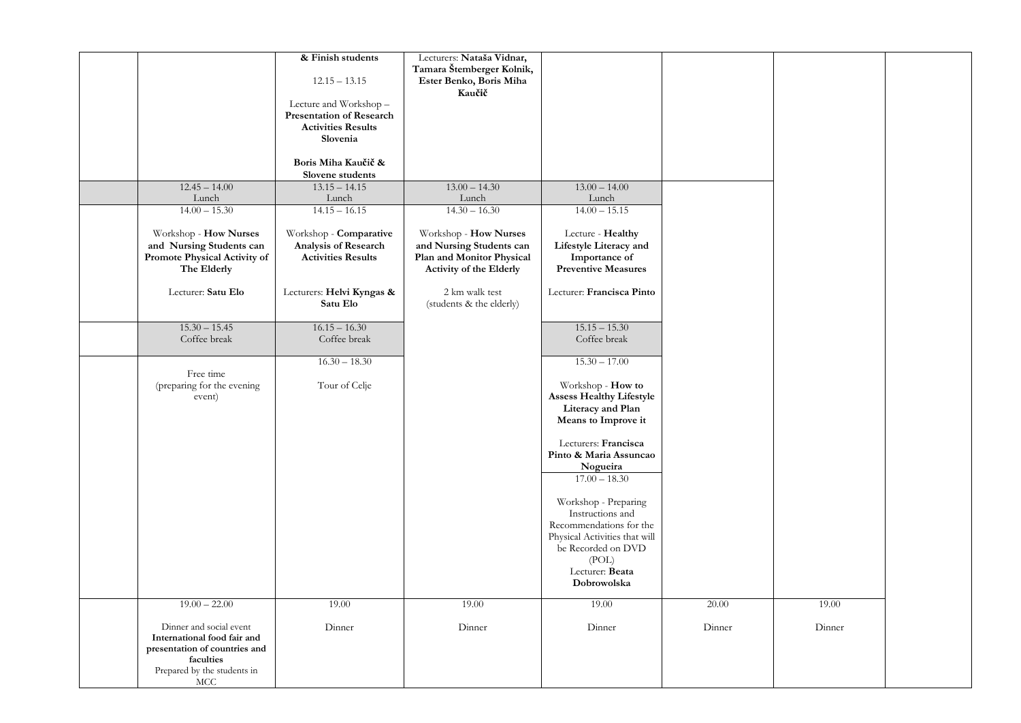|                               | & Finish students               | Lecturers: Nataša Vidnar, |                                 |        |        |  |
|-------------------------------|---------------------------------|---------------------------|---------------------------------|--------|--------|--|
|                               |                                 | Tamara Štemberger Kolnik, |                                 |        |        |  |
|                               | $12.15 - 13.15$                 | Ester Benko, Boris Miha   |                                 |        |        |  |
|                               |                                 | Kaučič                    |                                 |        |        |  |
|                               |                                 |                           |                                 |        |        |  |
|                               | Lecture and Workshop-           |                           |                                 |        |        |  |
|                               | <b>Presentation of Research</b> |                           |                                 |        |        |  |
|                               | <b>Activities Results</b>       |                           |                                 |        |        |  |
|                               | Slovenia                        |                           |                                 |        |        |  |
|                               |                                 |                           |                                 |        |        |  |
|                               | Boris Miha Kaučič &             |                           |                                 |        |        |  |
|                               | Slovene students                |                           |                                 |        |        |  |
| $12.45 - 14.00$               | $13.15 - 14.15$                 | $13.00 - 14.30$           | $13.00 - 14.00$                 |        |        |  |
|                               |                                 |                           |                                 |        |        |  |
| Lunch                         | Lunch                           | Lunch                     | Lunch                           |        |        |  |
| $14.00 - 15.30$               | $14.15 - 16.15$                 | $14.30 - 16.30$           | $14.00 - 15.15$                 |        |        |  |
|                               |                                 |                           |                                 |        |        |  |
| Workshop - How Nurses         | Workshop - Comparative          | Workshop - How Nurses     | Lecture - Healthy               |        |        |  |
| and Nursing Students can      | Analysis of Research            | and Nursing Students can  | Lifestyle Literacy and          |        |        |  |
| Promote Physical Activity of  | <b>Activities Results</b>       | Plan and Monitor Physical | Importance of                   |        |        |  |
| The Elderly                   |                                 | Activity of the Elderly   | <b>Preventive Measures</b>      |        |        |  |
|                               |                                 |                           |                                 |        |        |  |
| Lecturer: Satu Elo            | Lecturers: Helvi Kyngas &       | 2 km walk test            | Lecturer: Francisca Pinto       |        |        |  |
|                               | Satu Elo                        | (students & the elderly)  |                                 |        |        |  |
|                               |                                 |                           |                                 |        |        |  |
|                               |                                 |                           |                                 |        |        |  |
| $15.30 - 15.45$               | $16.15 - 16.30$                 |                           | $15.15 - 15.30$                 |        |        |  |
| Coffee break                  | Coffee break                    |                           | Coffee break                    |        |        |  |
|                               |                                 |                           |                                 |        |        |  |
|                               | $16.30 - 18.30$                 |                           | $15.30 - 17.00$                 |        |        |  |
| Free time                     |                                 |                           |                                 |        |        |  |
| (preparing for the evening    | Tour of Celje                   |                           | Workshop - How to               |        |        |  |
| event)                        |                                 |                           | <b>Assess Healthy Lifestyle</b> |        |        |  |
|                               |                                 |                           | Literacy and Plan               |        |        |  |
|                               |                                 |                           |                                 |        |        |  |
|                               |                                 |                           | Means to Improve it             |        |        |  |
|                               |                                 |                           |                                 |        |        |  |
|                               |                                 |                           | Lecturers: Francisca            |        |        |  |
|                               |                                 |                           | Pinto & Maria Assuncao          |        |        |  |
|                               |                                 |                           | Nogueira                        |        |        |  |
|                               |                                 |                           | $17.00 - 18.30$                 |        |        |  |
|                               |                                 |                           |                                 |        |        |  |
|                               |                                 |                           | Workshop - Preparing            |        |        |  |
|                               |                                 |                           | Instructions and                |        |        |  |
|                               |                                 |                           |                                 |        |        |  |
|                               |                                 |                           | Recommendations for the         |        |        |  |
|                               |                                 |                           | Physical Activities that will   |        |        |  |
|                               |                                 |                           | be Recorded on DVD              |        |        |  |
|                               |                                 |                           | (POL)                           |        |        |  |
|                               |                                 |                           | Lecturer: Beata                 |        |        |  |
|                               |                                 |                           | Dobrowolska                     |        |        |  |
|                               |                                 |                           |                                 |        |        |  |
| $19.00 - 22.00$               | 19.00                           | 19.00                     | 19.00                           | 20.00  | 19.00  |  |
|                               |                                 |                           |                                 |        |        |  |
| Dinner and social event       | Dinner                          | Dinner                    | Dinner                          | Dinner | Dinner |  |
| International food fair and   |                                 |                           |                                 |        |        |  |
| presentation of countries and |                                 |                           |                                 |        |        |  |
|                               |                                 |                           |                                 |        |        |  |
| faculties                     |                                 |                           |                                 |        |        |  |
| Prepared by the students in   |                                 |                           |                                 |        |        |  |
| MCC                           |                                 |                           |                                 |        |        |  |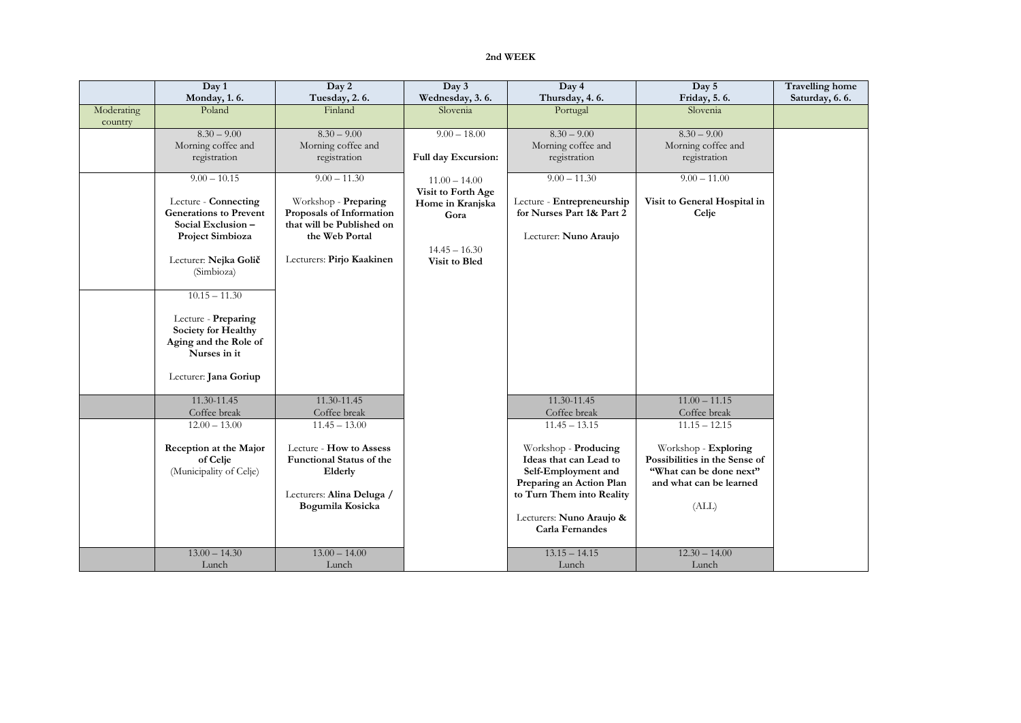## **2nd WEEK**

|            | Day 1                         | Day 2                     | Day 3               | Day 4                      | Day 5                         | <b>Travelling home</b> |
|------------|-------------------------------|---------------------------|---------------------|----------------------------|-------------------------------|------------------------|
|            | Monday, 1.6.                  | Tuesday, 2.6.             | Wednesday, 3.6.     | Thursday, 4.6.             | Friday, 5.6.                  | Saturday, 6.6.         |
| Moderating | Poland                        | Finland                   | Slovenia            | Portugal                   | Slovenia                      |                        |
| country    |                               |                           |                     |                            |                               |                        |
|            | $8.30 - 9.00$                 | $8.30 - 9.00$             | $9.00 - 18.00$      | $8.30 - 9.00$              | $8.30 - 9.00$                 |                        |
|            | Morning coffee and            | Morning coffee and        |                     | Morning coffee and         | Morning coffee and            |                        |
|            | registration                  | registration              | Full day Excursion: | registration               | registration                  |                        |
|            | $9.00 - 10.15$                | $9.00 - 11.30$            |                     | $9.00 - 11.30$             | $9.00 - 11.00$                |                        |
|            |                               |                           | $11.00 - 14.00$     |                            |                               |                        |
|            | Lecture - Connecting          | Workshop - Preparing      | Visit to Forth Age  | Lecture - Entrepreneurship | Visit to General Hospital in  |                        |
|            | <b>Generations to Prevent</b> | Proposals of Information  | Home in Kranjska    | for Nurses Part 1& Part 2  | Celje                         |                        |
|            | Social Exclusion-             | that will be Published on | Gora                |                            |                               |                        |
|            | Project Simbioza              | the Web Portal            |                     | Lecturer: Nuno Araujo      |                               |                        |
|            |                               |                           | $14.45 - 16.30$     |                            |                               |                        |
|            | Lecturer: Nejka Golič         | Lecturers: Pirjo Kaakinen | Visit to Bled       |                            |                               |                        |
|            | (Simbioza)                    |                           |                     |                            |                               |                        |
|            |                               |                           |                     |                            |                               |                        |
|            | $10.15 - 11.30$               |                           |                     |                            |                               |                        |
|            |                               |                           |                     |                            |                               |                        |
|            | Lecture - Preparing           |                           |                     |                            |                               |                        |
|            | Society for Healthy           |                           |                     |                            |                               |                        |
|            | Aging and the Role of         |                           |                     |                            |                               |                        |
|            | Nurses in it                  |                           |                     |                            |                               |                        |
|            |                               |                           |                     |                            |                               |                        |
|            | Lecturer: Jana Goriup         |                           |                     |                            |                               |                        |
|            | $11.30 - 11.45$               | $11.30 - 11.45$           |                     | 11.30-11.45                | $11.00 - 11.15$               |                        |
|            | Coffee break                  | Coffee break              |                     | Coffee break               | Coffee break                  |                        |
|            | $12.00 - 13.00$               | $11.45 - 13.00$           |                     | $11.45 - 13.15$            | $11.15 - 12.15$               |                        |
|            |                               |                           |                     |                            |                               |                        |
|            | Reception at the Major        | Lecture - How to Assess   |                     | Workshop - Producing       | Workshop - Exploring          |                        |
|            | of Celje                      | Functional Status of the  |                     | Ideas that can Lead to     | Possibilities in the Sense of |                        |
|            | (Municipality of Celje)       | Elderly                   |                     | Self-Employment and        | "What can be done next"       |                        |
|            |                               |                           |                     | Preparing an Action Plan   | and what can be learned       |                        |
|            |                               | Lecturers: Alina Deluga / |                     | to Turn Them into Reality  |                               |                        |
|            |                               | Bogumila Kosicka          |                     |                            | (ALL)                         |                        |
|            |                               |                           |                     | Lecturers: Nuno Araujo &   |                               |                        |
|            |                               |                           |                     | Carla Fernandes            |                               |                        |
|            | $13.00 - 14.30$               | $13.00 - 14.00$           |                     | $13.15 - 14.15$            | $12.30 - 14.00$               |                        |
|            |                               |                           |                     |                            |                               |                        |
|            | Lunch                         | Lunch                     |                     | Lunch                      | Lunch                         |                        |